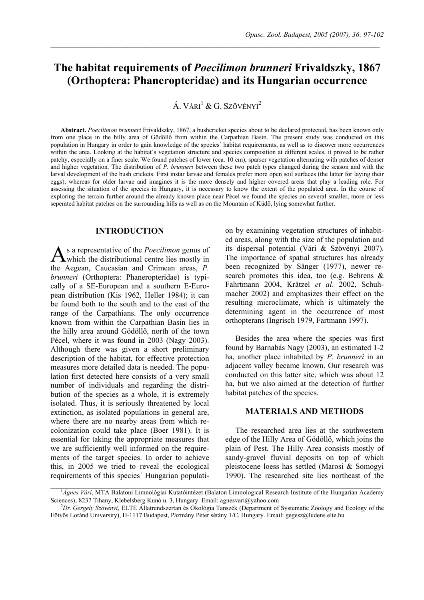# **The habitat requirements of** *Poecilimon brunneri* **Frivaldszky, 1867 (Orthoptera: Phaneropteridae) and its Hungarian occurrence**

 $\mathcal{L}_\mathcal{L} = \{ \mathcal{L}_\mathcal{L} = \{ \mathcal{L}_\mathcal{L} = \{ \mathcal{L}_\mathcal{L} = \{ \mathcal{L}_\mathcal{L} = \{ \mathcal{L}_\mathcal{L} = \{ \mathcal{L}_\mathcal{L} = \{ \mathcal{L}_\mathcal{L} = \{ \mathcal{L}_\mathcal{L} = \{ \mathcal{L}_\mathcal{L} = \{ \mathcal{L}_\mathcal{L} = \{ \mathcal{L}_\mathcal{L} = \{ \mathcal{L}_\mathcal{L} = \{ \mathcal{L}_\mathcal{L} = \{ \mathcal{L}_\mathcal{$ 

Á. VÁRI $1 \& G$ . Szövényi<sup>2</sup>

**Abstract.** *Poecilimon brunneri* Frivaldszky, 1867, a bushcricket species about to be declared protected, has been known only from one place in the hilly area of Gödöllő from within the Carpathian Basin. The present study was conducted on this population in Hungary in order to gain knowledge of the species´ habitat requirements, as well as to discover more occurrences within the area. Looking at the habitat´s vegetation structure and species composition at different scales, it proved to be rather patchy, especially on a finer scale. We found patches of lower (cca. 10 cm), sparser vegetation alternating with patches of denser and higher vegetation. The distribution of *P. brunneri* between these two patch types changed during the season and with the larval development of the bush crickets. First instar larvae and females prefer more open soil surfaces (the latter for laying their eggs), whereas for older larvae and imagines it is the more densely and higher covered areas that play a leading role. For assessing the situation of the species in Hungary, it is necessary to know the extent of the populated area. In the course of exploring the terrain further around the already known place near Pécel we found the species on several smaller, more or less seperated habitat patches on the surrounding hills as well as on the Mountain of Küdő, lying somewhat further.

## **INTRODUCTION**

s a representative of the *Poecilimon* genus of which the distributional centre lies mostly in the Aegean, Caucasian and Crimean areas, *P. brunneri* (Orthoptera: Phaneropteridae) is typically of a SE-European and a southern E-European distribution (Kis 1962, Heller 1984); it can be found both to the south and to the east of the range of the Carpathians. The only occurrence known from within the Carpathian Basin lies in the hilly area around Gödöllő, north of the town Pécel, where it was found in 2003 (Nagy 2003). Although there was given a short preliminary description of the habitat, for effective protection measures more detailed data is needed. The population first detected here consists of a very small number of individuals and regarding the distribution of the species as a whole, it is extremely isolated. Thus, it is seriously threatened by local extinction, as isolated populations in general are, where there are no nearby areas from which recolonization could take place (Boer 1981). It is essential for taking the appropriate measures that we are sufficiently well informed on the requirements of the target species. In order to achieve this, in 2005 we tried to reveal the ecological requirements of this species´ Hungarian populati- $A_{\mathrm{w}}^{\mathrm{s}}$ 

on by examining vegetation structures of inhabited areas, along with the size of the population and its dispersal potential (Vári & Szövényi 2007). The importance of spatial structures has already been recognized by Sänger (1977), newer research promotes this idea, too (e.g. Behrens & Fahrtmann 2004, Krätzel *et al*. 2002, Schuhmacher 2002) and emphasizes their effect on the resulting microclimate, which is ultimately the determining agent in the occurrence of most orthopterans (Ingrisch 1979, Fartmann 1997).

Besides the area where the species was first found by Barnabás Nagy (2003), an estimated 1-2 ha, another place inhabited by *P. brunneri* in an adjacent valley became known. Our research was conducted on this latter site, which was about 12 ha, but we also aimed at the detection of further habitat patches of the species.

# **MATERIALS AND METHODS**

The researched area lies at the southwestern edge of the Hilly Area of Gödöllő, which joins the plain of Pest. The Hilly Area consists mostly of sandy-gravel fluvial deposits on top of which pleistocene loess has settled (Marosi & Somogyi 1990). The researched site lies northeast of the

<sup>&</sup>lt;sup>1</sup>Ágnes Vári, MTA Balatoni Limnológiai Kutatóintézet (Balaton Limnological Research Institute of the Hungarian Academy Sciences), 8237 Tihany, Klebelsberg Kunó u. 3, Hungary. Email: agnesvari@yahoo.com

*Dr. Gergely Szövényi*, ELTE Állatrendszertan és Ökológia Tanszék (Department of Systematic Zoology and Ecology of the Eötvös Loránd University), H-1117 Budapest, Pázmány Péter sétány 1/C, Hungary. Email: gegesz@ludens.elte.hu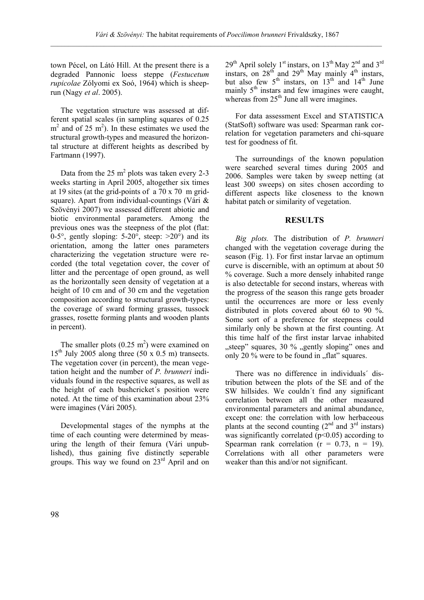town Pécel, on Látó Hill. At the present there is a degraded Pannonic loess steppe (*Festucetum rupicolae* Zólyomi ex Soó, 1964) which is sheeprun (Nagy *et al*. 2005).

The vegetation structure was assessed at different spatial scales (in sampling squares of 0.25  $m<sup>2</sup>$  and of 25 m<sup>2</sup>). In these estimates we used the structural growth-types and measured the horizontal structure at different heights as described by Fartmann (1997).

Data from the 25  $m^2$  plots was taken every 2-3 weeks starting in April 2005, altogether six times at 19 sites (at the grid-points of a 70 x 70 m gridsquare). Apart from individual-countings (Vári & Szövényi 2007) we assessed different abiotic and biotic environmental parameters. Among the previous ones was the steepness of the plot (flat: 0-5 $^{\circ}$ , gently sloping: 5-20 $^{\circ}$ , steep:  $>20^{\circ}$ ) and its orientation, among the latter ones parameters characterizing the vegetation structure were recorded (the total vegetation cover, the cover of litter and the percentage of open ground, as well as the horizontally seen density of vegetation at a height of 10 cm and of 30 cm and the vegetation composition according to structural growth-types: the coverage of sward forming grasses, tussock grasses, rosette forming plants and wooden plants in percent).

The smaller plots  $(0.25 \text{ m}^2)$  were examined on  $15<sup>th</sup>$  July 2005 along three (50 x 0.5 m) transects. The vegetation cover (in percent), the mean vegetation height and the number of *P. brunneri* individuals found in the respective squares, as well as the height of each bushcricket´s position were noted. At the time of this examination about 23% were imagines (Vári 2005).

Developmental stages of the nymphs at the time of each counting were determined by measuring the length of their femura (Vári unpublished), thus gaining five distinctly seperable groups. This way we found on 23rd April and on  $29<sup>th</sup>$  April solely 1<sup>st</sup> instars, on 13<sup>th</sup> May 2<sup>nd</sup> and 3<sup>rd</sup> instars, on  $28^{th}$  and  $29^{th}$  May mainly  $4^{th}$  instars, but also few  $5<sup>th</sup>$  instars, on  $13<sup>th</sup>$  and  $14<sup>th</sup>$  June mainly  $5<sup>th</sup>$  instars and few imagines were caught, whereas from  $25<sup>th</sup>$  June all were imagines.

For data assessment Excel and STATISTICA (StatSoft) software was used: Spearman rank correlation for vegetation parameters and chi-square test for goodness of fit.

The surroundings of the known population were searched several times during 2005 and 2006. Samples were taken by sweep netting (at least 300 sweeps) on sites chosen according to different aspects like closeness to the known habitat patch or similarity of vegetation.

#### **RESULTS**

*Big plots.* The distribution of *P. brunneri* changed with the vegetation coverage during the season (Fig. 1). For first instar larvae an optimum curve is discernible, with an optimum at about 50 % coverage. Such a more densely inhabited range is also detectable for second instars, whereas with the progress of the season this range gets broader until the occurrences are more or less evenly distributed in plots covered about 60 to 90 %. Some sort of a preference for steepness could similarly only be shown at the first counting. At this time half of the first instar larvae inhabited "steep" squares, 30 % "gently sloping" ones and only 20  $\%$  were to be found in  $\eta$ , flat" squares.

There was no difference in individuals´ distribution between the plots of the SE and of the SW hillsides. We couldn´t find any significant correlation between all the other measured environmental parameters and animal abundance, except one: the correlation with low herbaceous plants at the second counting  $(2<sup>nd</sup>$  and  $3<sup>rd</sup>$  instars) was significantly correlated  $(p<0.05)$  according to Spearman rank correlation ( $r = 0.73$ ,  $n = 19$ ). Correlations with all other parameters were weaker than this and/or not significant.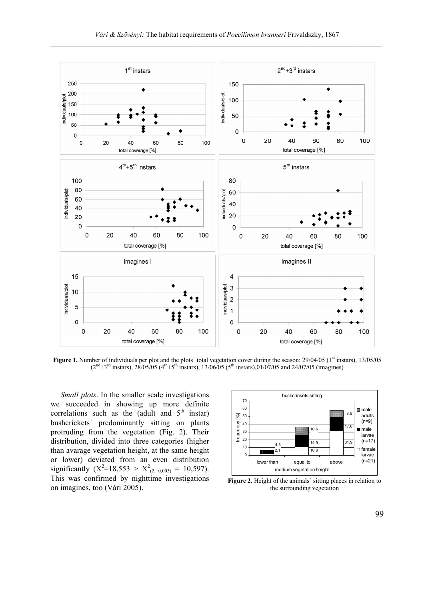

**Figure 1.** Number of individuals per plot and the plots' total vegetation cover during the season: 29/04/05 (1<sup>st</sup> instars), 13/05/05  $(2<sup>nd</sup>+3<sup>rd</sup> instars)$ ,  $28/05/05$   $(4<sup>th</sup>+5<sup>th</sup> instars)$ ,  $13/06/05$   $(5<sup>th</sup> instars)$ ,  $01/07/05$  and  $24/07/05$  (imagines)

*Small plots*. In the smaller scale investigations we succeeded in showing up more definite correlations such as the (adult and  $5<sup>th</sup>$  instar) bushcrickets´ predominantly sitting on plants protruding from the vegetation (Fig. 2). Their distribution, divided into three categories (higher than avarage vegetation height, at the same height or lower) deviated from an even distribution significantly  $(X^2=18,553 > X^2_{(2, 0,005)} = 10,597)$ . This was confirmed by nighttime investigations on imagines, too (Vári 2005).



Figure 2. Height of the animals' sitting places in relation to the surrounding vegetation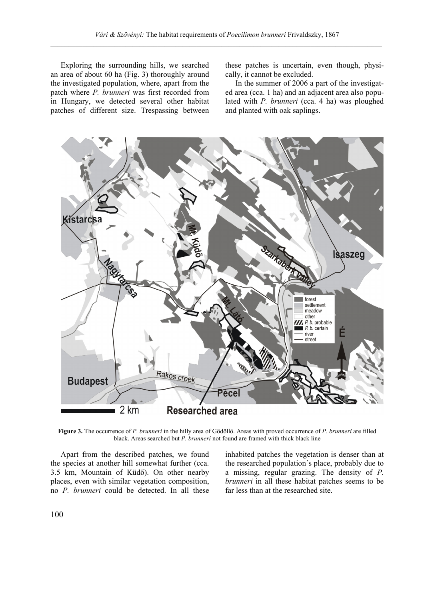Exploring the surrounding hills, we searched an area of about 60 ha (Fig. 3) thoroughly around the investigated population, where, apart from the patch where *P. brunneri* was first recorded from in Hungary, we detected several other habitat patches of different size. Trespassing between

these patches is uncertain, even though, physically, it cannot be excluded.

In the summer of 2006 a part of the investigated area (cca. 1 ha) and an adjacent area also populated with *P. brunneri* (cca. 4 ha) was ploughed and planted with oak saplings.



**Figure 3.** The occurrence of *P. brunneri* in the hilly area of Gödöllő. Areas with proved occurrence of *P. brunneri* are filled black. Areas searched but *P. brunneri* not found are framed with thick black line

Apart from the described patches, we found the species at another hill somewhat further (cca. 3.5 km, Mountain of Küdő). On other nearby places, even with similar vegetation composition, no *P. brunneri* could be detected. In all these inhabited patches the vegetation is denser than at the researched population´s place, probably due to a missing, regular grazing. The density of *P. brunneri* in all these habitat patches seems to be far less than at the researched site.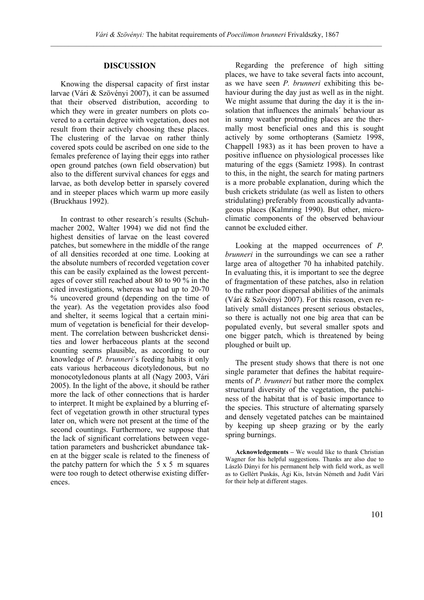## **DISCUSSION**

Knowing the dispersal capacity of first instar larvae (Vári & Szövényi 2007), it can be assumed that their observed distribution, according to which they were in greater numbers on plots covered to a certain degree with vegetation, does not result from their actively choosing these places. The clustering of the larvae on rather thinly covered spots could be ascribed on one side to the females preference of laying their eggs into rather open ground patches (own field observation) but also to the different survival chances for eggs and larvae, as both develop better in sparsely covered and in steeper places which warm up more easily (Bruckhaus 1992).

In contrast to other research´s results (Schuhmacher 2002, Walter 1994) we did not find the highest densities of larvae on the least covered patches, but somewhere in the middle of the range of all densities recorded at one time. Looking at the absolute numbers of recorded vegetation cover this can be easily explained as the lowest percentages of cover still reached about 80 to 90 % in the cited investigations, whereas we had up to 20-70 % uncovered ground (depending on the time of the year). As the vegetation provides also food and shelter, it seems logical that a certain minimum of vegetation is beneficial for their development. The correlation between bushcricket densities and lower herbaceous plants at the second counting seems plausible, as according to our knowledge of *P. brunneri*´s feeding habits it only eats various herbaceous dicotyledonous, but no monocotyledonous plants at all (Nagy 2003, Vári 2005). In the light of the above, it should be rather more the lack of other connections that is harder to interpret. It might be explained by a blurring effect of vegetation growth in other structural types later on, which were not present at the time of the second countings. Furthermore, we suppose that the lack of significant correlations between vegetation parameters and bushcricket abundance taken at the bigger scale is related to the fineness of the patchy pattern for which the  $5 \times 5$  m squares were too rough to detect otherwise existing differences.

Regarding the preference of high sitting places, we have to take several facts into account, as we have seen *P. brunneri* exhibiting this behaviour during the day just as well as in the night. We might assume that during the day it is the insolation that influences the animals´ behaviour as in sunny weather protruding places are the thermally most beneficial ones and this is sought actively by some orthopterans (Samietz 1998, Chappell 1983) as it has been proven to have a positive influence on physiological processes like maturing of the eggs (Samietz 1998). In contrast to this, in the night, the search for mating partners is a more probable explanation, during which the bush crickets stridulate (as well as listen to others stridulating) preferably from acoustically advantageous places (Kalmring 1990). But other, microclimatic components of the observed behaviour cannot be excluded either.

Looking at the mapped occurrences of *P. brunneri* in the surroundings we can see a rather large area of altogether 70 ha inhabited patchily. In evaluating this, it is important to see the degree of fragmentation of these patches, also in relation to the rather poor dispersal abilities of the animals (Vári & Szövényi 2007). For this reason, even relatively small distances present serious obstacles, so there is actually not one big area that can be populated evenly, but several smaller spots and one bigger patch, which is threatened by being ploughed or built up.

The present study shows that there is not one single parameter that defines the habitat requirements of *P. brunneri* but rather more the complex structural diversity of the vegetation, the patchiness of the habitat that is of basic importance to the species. This structure of alternating sparsely and densely vegetated patches can be maintained by keeping up sheep grazing or by the early spring burnings.

**Acknowledgements –** We would like to thank Christian Wagner for his helpful suggestions. Thanks are also due to László Dányi for his permanent help with field work, as well as to Gellért Puskás, Ági Kis, István Németh and Judit Vári for their help at different stages.